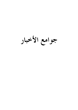# جوامع الأخبار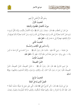





بسْم اللَّه الرَّحْمَنِ الرَّحيمِ الْحَديثُ الْأَوَّلُ ميزَانُ الْأَعْمَالِ الظَّاهرَةِ وَالْبَاطْنَة

عَنْ عُمَرَ بْنِ الْخَطَّابِ ﷺ، قَالَ: سَمعْتُ رَسُولَ اللَّه ﷺ ﴿ إِنَّمَا الْأَعْمَالُ بِالنِّيَّات، وَإِنَّمَا لكُلِّ امْرئ مَا نَوَى فَمَنْ كَانَتْ هِجْرَتُهُ إِلَى اللَّهِ وَرَسُولِهِ، فَهجْرَتُهُ إِلَى اللَّهِ وَرَسُولِهِ، وَمَنْ كَانَتْ هجْرَتُهُ لِدُنْيَا يُصِيبُهَا أَوِ امْرَأَةِ يَنْكِحُهَا، فَهِجْرَتُهُ إِلَى مَا هَاجَرَ إِلَيْهِ ﴾ مُتَّفَقٌّ عَلَيْهِ. الْحَديثُ الثَّاني

رَدُّ مَا لَيْسَ في الْكتَابِ وَالسُّــنَّة

عَنْ عَائشَةَ – رَضيَ اللَّهُ عَنْهَا – قَالَتْ: قَالَ رَسُولُ اللَّهِ ﷺ ﴿ مَنْ أَحْدَثَ فِي أَمْرِنَا هَذَا مَا لَيْسَ مِنْهُ ﴾ – وَفِي رِوَايَة: ۚ ﴿مَنْ عَملَ عَمَلًا لَيْسَ عَلَيْه أَمْرُنَا ؛ فَهُوَ رَدٌّ ﴾ مُتَّفَقٌ عَلَيْه. الْحَديثُ الثَّالتُ

#### اللِّينُ النَّصيحَةُ

عَنْ تَميم الدَّارِيِّ رَضِّيَّة قَالَ: قَالَ رَسُولُ اللَّه ﷺ ﴿ الدِّينُ النَّصِيحَةُ، الدِّينُ النَّصيحَةُ، الدِّينُ النَّصِيحَةُ، قَالُوا: لِمَنْ يَا رَسُولَ اللَّهِ ؟ قَالَ: لِلَّهِ، وَلِكَتَابِهِ، وَلِرَسُولِهِ، وَلَأَئمَّةِ الْمُسْلِمِينَ وَعَامَّتِهِمْ ﴾ رَوَاهُ مُسْلَمٌ.

## الْحَديثُ الرَّابعُ الْعَمَلُ الَّذي يُدْخلُ الْجَنَّةَ

عَنْ أَبِي هُرَيْرَةَ ﷺ، قَالَ: ﴿ أَتَى أَعْرَابِيٌّ النَّبِيَّ ﷺ فَقَالَ: ذُلَّنِي عَلَى عَمَلٍ إِذَا عَملْتُهُ دَخَلْتُ الْجَنَّةَ ؟ قَالَ: تَعْبُدُ اللَّهَ وَلَا تُشْرِكُ بِهِ شَيْئًا، وَتُقِيمُ الصَّلَاةَ الْمَكْتُوبَةَ، وَتُؤَدِّي الزَّكَاةَ الْمَفْرُوضَةَ وَتَصُومُ رَمَضَانَ،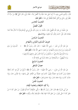

#### جوامع الأخبار



قَالَ: وَالَّذي نَفْسي بيَده، لَا أَزيدُ عَلَى هَذا شَيْئًا وَلَا أَنْقُصُ منْهُ ؛ فَلَمَّا وَلَّى، قَالَ النَّبيُّ ﷺ مَنْ سَرَّهُ أَنْ يَنْظُرَ إِلَى رَجُلٍ مِنْ أَهْلِ الْجَنَّة فَلْيَنْظُرْ إِلَى هَذَا ﴾ هُتَّفَقٌ عَلَيْه. الْحَديثُ الْخَامس الْقَوْلُ الْفَصْلُ

عَنْ سُفْيَانَ بْنِ عَبْدِ اللَّهِ الثَّقَفيِّ، قَالَ: ﴿ قُلْتُ: يَا رَسُولَ اللَّهِ، قُلْ لي في الْإسْلَام قَوْلًا لَا أَسْأَلُ عَنْهُ أَحَدًا بَعْدَكَ؛ قَالَ: قُلْ: آمَنْتُ باللَّه، ثُمَّ اسْتَقمْ ﴾ رَوَاهُ هُسلمٌ.

## الْحَدِيثُ السَّادِسُ تعريفُ الْمُسْلمِ وَالْمُؤْمنِ وَالْمُهَاجِرِ

عَنْ عَبْدِ اللَّهِ بْنِ عُمَرَ – رَضِيَ اللَّهُ عَنْهُمَا – قَالَ: قَالَ رَسُولُ اللَّه ﷺ الْمُسلِمُ مَنْ سَلَمَ  $\begin{matrix} \end{matrix}$ الْمُسلمُونَ منْ لسَانه وَيَده وَالْمُهَاجِرُ مَنْ هَجَرَ مَا نَهَى اللَّهُ عَنْهُ ﴾ هُتَّفَقٌ عَلَيْه. وَزَادَ التِّرْمذيُّ وَالنَّسَائيُّ: ﴿ وَالْمُؤْمِنُ مَنْ أَمنَهُ النَّاسُ عَلَى دمَائهمْ وَأَمْوَالهمْ ﴾ وَزَادَ الْبَيْهَقيُّ: ﴿ وَالْمُجَاهِدُ مَنْ جَاهَدَ نَفْسَهُ في طَاعَة اللَّه ﴾ الْحَديثُ السَّابعُ خصَالُ الْمُنَافِقِ

عَنْ عَبْدِ اللَّهِ بْنِ عَمْرِو – رَضِيَ اللَّهُ عَنْهُمَا – قَالَ رَسُولُ اللَّهِ ﷺ ﴿ أَرْبَعٌ مَنْ كُنَّ فيه كَانَ مُنَافِقًا خَالصًا وَمَنْ كَانَتْ فيه خَصْلَةٌ منْهُنَّ، كَانَتْ فيه خَصْلَةٌ منَ النِّفَاق حَتَّى يَدَعَهَا ؛ إذَا اؤْتُمنَ خَانَ، وَإذَا حَدَّثَ كَذَبَ، وَإِذَا عَاهَدَ غَدَرَ، وَإِذَا خَاصَمَ فَجَرَ ﴾ مُتَّفَقٌ عَلَيْه. الْحَديثُ الثَّامنُ رَدُّ كَيْد الشَّيْطَان وَتَجْديدُ الْإِيمَان

عَنْ أَبِي هُرَيْرَةَ ﷺ قَالَ: قَالَ رَسُولُ اللَّه ﷺ ﴿ يَأْتِي الشَّيْطَانُ أَحَدَكُمْ فَيَقُولُ: مَنْ خَلَقَ كَذَا ؟ مَنْ خَلَقَ كَذَا ؟ حَتَّى يَقُولَ: مَنْ خَلَقَ اللَّهَ ؟ فَإِذَا بَلَغَهُ ؛ فَلْيَسْتَعِذْ بِاللَّهِ، وَلْيَنْتَه ﴾ هُتَّفَقٌ عَلَيْه.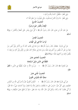





وَفي لَفْظ: ﴿فَلْيَقُلْ: آمَنْتُ بِاللَّهِ وَرُسُلِهِ ﴾ وَفي لَفْظ: ﴿لَا يَزَالُ النَّاسُ يَتَسَاءَلُونَ، حَتَّى يَقُولُونَ: مَنْ خَلَقَ اللَّهَ ؟ ﴾ الْحَديثُ التَّاسعُ الْإِيمَانُ بِالْقَدَرِ خَيْرِه وَشَرِّه عَنْ عَبْدِ اللَّهِ بْنِ عَمْرِو قَالَ: قَالَ رَسُولُ اللَّهِ ﷺ ﴿ كُلُّ شَيْءٍ بِقَدَرٍ حَتَّى الْعَجْزُ وَالْكَيْسُ ﴾ رَوَاهُ مُسْلَمٌّ.

الْحَديثُ الْعَاشرُ ثَوَابُ الدَّاعي إلَى الْهُدَى

عَنْ أَبِي هُرَيْرَةَ ۚ ﷺقَالَ :قَالَ رَسُولُ اللَّه ﷺ ﴿ مَنْ دَعَا إِلَى هُدًى كَانَ لَهُ منَ الْأَجْر مثْلُ أُجُور مَنْ تَبِعَهُ مِنْ غَيْرِ أَنْ يَنْقُصَ مِنْ أُجُورِهِمْ شَيْئًا، وَمَنْ دَعَا إِلَى ضَلَالَةِ كَانَ عَلَيْهِ مِنَ الْإِثْمِ مِثْلُ آثَامِ مَنْ تَبِعَهُ، لَا يَنْقُصُ ذَلكَ منْ آثَامهمْ شَيْئًا ﴾ رَوَاهُ مُسْلمٌ.

# الْحَديثُ الْحَادي عَشَرَ

التَّفَقُّهُ في الدِّين دَليلُ السَّعَادَة

عَنْ مُعَاوِيَةَ ﷺ قَالَ: قَالَ رَسُولُ اللَّهِ ﷺ ﴿ مَنْ يُرِدِ اللَّهُ بِهِ خَيْرًا، يُفَقِّهْهُ فِي الدِّينِ ﴾ مُتَّفَقُّ عَلَيْه.

عَنْ أَبِي هُرَيْرَةَ ﷺ قَالَ: قَالَ رَسُولُ اللَّه ﷺ ﴿ الْمُؤْمِنُ الْقَوِيُّ خَيْرٌ وَأَحَبُّ إِلَى اللَّه منَ الْمُؤْمن الضَّعِيف وَفِي كُلٍّ خَيْرٌ، احْرِصْ عَلَى مَا يَنْفَعُكَ، وَاسْتَعِنْ بِاللَّهِ وَلَا تَعْجَزْ، وَإِنْ أَصَابَكَ شَيْءٌ ؛ فَلَا تَقُلْ: لَوْ أَنِّي فَعَلْتُ كَذَا وَكَذَا، وَلَكِنْ قُلْ: قَدَّرَ اللَّهُ، وَمَا شَاءَ فَعَلَ ؛ فَإِنَّ لَوْ تَفْتَحُ عَمَلَ الشَّيْطَانِ ﴾ رَوَاهُ مُسْلَمٌ.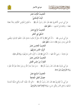



الْحَديثُ الثَّالثَ عَشَرَ الْبِنَاءُ الْإِسْلَامِيُّ ﴿ الْمُؤْمِنُ لِلْمُؤْمِنِ كَالْبُنْيَانِ يَشُكُّ بَعْضُهُ عَنْ أَبِي مُوسَى الْأَشْعَرِيِّ ﷺ قَالَ: قَالَ رَسُولُ اللَّه ﷺ بَعْضًا – وَشَبَّكَ بَيْنَ أَصَابِعه – ﴾ هُتَّفَقٌ عَلَيْه. الْحَديثُ الرَّابعَ عَشَرَ السَّعْيُ في الْخَيْرِ عَنْ أَبِي مُوسَى ﷺ، ﴿ أَنَّ النَّبِيَّ ﷺ إِذَا أَتَاهُ سَائِلٌ أَوْ طَالبُ حَاجَةٍ، قَالَ: اشْفَعُوا تُؤْجَرُوا وَيَقْضِي

اللَّهُ عَلَى لِسَانِ رَسُولِهِ ﷺ مَا شَاءَ ﴾ **مُتَّفَقٌ عَلَيْه**.

عَنْ عَائشَةَ – رَضيَ اللَّهُ عَنْهَا –: أَنَّ النَّبيَّ ﷺ قَالَ: ﴿ أَنْزِلُوا النَّاسَ مَنَازِلَهُمْ ﴾ رَوَاهُ أَبُو دَاوُدَ. الْحَديثُ السَّادسَ عَشَرَ الْجَزَاءُ منْ جنْسِ الْعَمَلِ

عَنْ أَبِي هُرَيْرَةَ ﷺ، قَالَ: قَالَ رَسُولُ اللَّه ﷺ ﴾ ﴿ مَنْ ضَارَّ ضَارَّ اللَّهُ بِهِ وَمَنْ شَاقَّ شَقَّ اللَّهُ عَلَيْه ﴾ رَوَاهُ التِّرْمذيُّ وَابْنُ مَاجَهْ.

عَنْ أَبِي ذَرٍّ الْغفَارِيِّ ﷺ، قَالَ: قَالَ رَسُولُ اللَّه ﷺ ﴿ اتَّقِ اللَّهَ حَيْتُمَا كُنْتَ وَأتْبع السِّيِّئَةَ الْحَسَنَةَ تَمْحُهَا، وَخَالِقِ النَّاسَ بِخُلُقٍ حَسَنٍ ﴾ رَوَاهُ الْإِمَامُ أَحْمَدُ وَالتِّرْمذيُّ.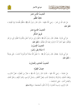





الْحَديثُ الثَّامنَ عَشَرَ عَاقبَةُ الظُّلْم عَنْ عَبْدِ اللَّهِ بْنِ عُمَرَ – رَضِيَ اللَّهُ عَنْهُمَا – قَالَ: قَالَ رَسُولُ اللَّهِ ﷺ ﴿ الظُّلْمُ ظُلُمَاتٌ يَوْمَ الْقيَامَة ﴾ مُتَّفَقٌ عَلَيْه. الْحَديثُ التَّاسعَ عَشَرَ طَرِيقُ الشُّكْرِ عَنْ أَبِي هُرَيْرَةَ ۚ ﷺقَالَ :قَالَ رَسُولُ اللَّه ﷺ ﴿انْظُرُوا إِلَى مَنْ هُوَ أَسْفَلَ مِنْكُمْ وَلَا تَنْظُرُوا إِلَى مَنْ هُوَ فَوْقَكُمْ ؛ فَهُوَ أَجْدَرُ أَنْ لَا تَزْدَرُوا نعْمَةَ اللَّه عَلَيْكُمْ ﴾ مُتَّفَقٌ عَلَيْه. الْحَديثُ الْعشرُونَ لَا صَلَاةَ بِغَيْرِ وُضُوء عَنْ أَبِي هُرَيْرَةَ ۚ ﷺقَالَ :قَالَ رَسُولُ اللَّه ﷺ ﴿ لَا يَقْبَلُ اللَّهُ صَلَاةَ أَحَدكُمْ إِذَا أَحْدَثَ ؛ حَتَّى يَتَوَضَّأَ

﴾ مُتَّفَقٌّ عَلَيْه.

الْحَديثُ الْحَادي وَالْعشْرُونَ

خصَالُ الْفطْرَة

عَنْ عَائشَةَ – رَضيَ اللَّهُ عَنْهَا – قَالَتْ: قَالَ رَسُولُ اللَّه ﷺ ﴿ عَشْرٌ منَ الْفطْرَة ؛ قَصُّ الشَّارب، وَإعْفَاءُ اللَّحْيَة، وَالسِّوَاكُ وَاسْتنْشَاقُ الْمَاء، وَقَصُّ الْأَظْفَارِ، وَغَسْلُ الْبَرَاجِمِ، وَنَتْفُ الْإِبْطِ، وَحَلْقُ الْعَانَةِ، وَانْتقَاصُ الْمَاء – يَعْني الاسْتنْجَاءَ –. قَالَ الرَّاوي: وَنَسيتُ الْعَاشرَةَ ؛ إِلَّا أَنْ تَكُونَ الْمَضْمَضَةَ ﴾ رَوَاهُ مُسْلمٌ.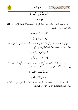





## الْحَديثُ الثَّاني وَالْعشْرُونَ

طَهَارَةُ الْمَاء

عَنْ أَبِي سَعِيدِ الْخُدْرِيِّ ۚ ﷺقَالَ :قَالَ رَسُولُ اللَّهِ ﷺ ﴿الْمَاءُ طَهُورٌ لَا يُنَجَّسُهُ شَيْءٌ ﴾ رَوَاهُ أَحْمَلُهُ وَالتِّرْمذيُّ وَأَبُو دَاوُدَ وَالنَّسَائيُّ.

الْحَديثُ الثَّالثُ وَالْعشْرُونَ

طَهَارَةُ الْحَيَوَانَاتِ الطَّوَّافَة

عَنْ أَبِي قَتَادَةَ ۚ فَيْهَنَّالَ: قَالَ رَسُولُ اللَّه – ﷺفي الْهرَّة –: ﴿ إِنَّهَا لَيْسَتْ بِنَجس ؛ إِنَّهَا مِنَ الطَّوَّافِينَ عَلَيْكُمْ وَالطَّوَّافَاتِ ﴾ رَوَاهُ مَالكٌ وَأَحْمَدُ وَأَهْلُ السُّنَنِ الْأَرْبَعُ.

الْحَديثُ الرَّابِعُ وَالْعِشْرُونَ

## الْعبَادَاتُ الْمُكَفِّرَةُ للذُّنُوب

عَنْ أَبِي هُرَيْرَةَ ۖ رَبِّينَ قَالَ :قَالَ رَسُولُ اللَّهِ ﷺ ﴿ الصَّلَوَاتُ الْخَمْسُ، وَالْجُمُعَةُ إِلَى الْجُمُعَةِ، وَرَمَضَانُ إِلَى رَمَضَانَ ؛ مُكَفِّرَاتٌ لِمَا بَيْنَهُنَّ مَا اجْتُنِبَتِ الْكَبَائِرُ ﴾ رَوَاهُ هُسْلُمٌ.

الْحَديثُ الْخَامسُ وَالْعشرُونَ

الصَّلَاةُ وَالْأَذَانُ وَالْإِقَامَةُ

عَنْ مَالك بْنِ الْحُوَيْرِتْ ۚ ﷺ،قَالَ :قَالَ رَسُولُ اللَّهِ ﷺ ﴿ صَلُّوا كَمَا رَأَيْتُمُونِي أُصَلِّي وَإِذَا حَضَرَتِ الصَّلَاةُ فَلْيُؤَذِّنْ لَكُمْ أَحَدُكُمْ، وَلْيَؤُمَّكُمْ أَكْبَرُكُمْ ﴾ مُتَّفَقٌ عَلَيْه.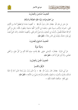





الْحَديثُ السَّادسُ وَالْعشْرُونَ

منْ خُصُوصيَّات نَبِيِّنَا عَلَيْه الصَّلَاةُ وَالسَّلَامُ

عَنْ جَابِرٍ بْنِ عَبْدِ اللَّهِ ۚ ﷺقَالَ زَسُولُ اللَّهِ ﷺ ﴿ أُعْطِيتُ خَمْسًا لَمْ يُعْطَهُنَّ أَحَدٌ مِنَ الْأَنْبِيَاءِ قَبْلِي ؛ نُصِرْتُ بِالرُّعْبِ مَسِيرَةَ شَهْرٍ، وَجُعِلَتْ لِيَ الْأَرْضُ كُلُّهَا مَسْجِدًا وَطَهُورًا، فَأَيُّمَا رَجُلٍ مِنْ أُمَّتِي أَدْرَكَتْهُ الصَّلَاةُ فَلْيُصَلِّ، وَأُحِلَّتْ لِيَ الْمَغَانِمُ، وَلَمْ تَحِلَّ لِأَحَدٍ قَبْلِي، وَأُعْطِيتُ الشَّفَاعَةَ، وَكَانَ النَّبِيُّ يُبْعَتُ إِلَى قَوْمه خَاصَّةً، وَبُعثْتُ إِلَى النَّاسِ عَامَّةً ﴾ مُتَّفَقٌّ عَلَيْه.

#### الْحَديثُ السَّابعُ وَالْعشرُونَ

#### وَصِيَّةٌ نَبَويَّةٌ

عَنْ أَبِي هُرَيْرَةَ ﷺقَالَ ﴿ :أَوْصَانِي خَلِيلِي ۗ ﷺ بِتَلَاثٍ؛ صِيَامٍ ثَلَاثَةٍ أَيَّامٍ مِنْ كُلِّ شَهْرٍ، وَرَكْعَتَي الضُّحَى، وَأَنْ أُوتِرَ قَبْلَ أَنْ أَنَامَ ﴾ مُتَّفَقٌ عَلَيْه.

## الْحَديثُ الثَّامنُ وَالْعشْرُونَ

#### الرِّفْقُ وَالتَّيْسيرُ

عَنْ أَبِي هُرَيْرَةَ ۚ رَضَّيْهَقَالَ :قَالَ رَسُولُ اللَّه ﷺ ﴿ إِنَّ الدِّينَ يُسْرُ، وَلَنْ يُشَادَّ الدِّينَ أَحَدٌ إِلَّا غَلَبَهُ فَسَلِّدُوا وَقَارِبُوا وَأَبْشِرُوا، وَاسْتَعِينُوا بِالْغَدْوَةِ وَالرَّوْحَةِ وَشَيْءٍ مِنَ الدُّلْجَةِ ﴾ هُتَّفَقٌ عَلَيْهِ. وَفِي لَفْظ: ﴿وَالْقَصْدَ الْقَصْدَ تَبْلُغُوا ﴾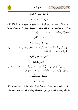





الْحَديثُ التَّاسعُ وَالْعشْرُونَ حَقُّ الْمُسْلم عَلَى الْمُسْلم عَنْ أَبِي هُرَيْرَةَ ۚ ﷺ،قَالَ :قَالَ رَسُولُ اللَّهِ ﷺ ﴿ حَقُّ الْمُسْلِمِ عَلَى الْمُسْلِمِ سِتٌّ قِيلَ: مَا هُنَّ يَا رَسُولَ اللَّهِ ؟ قَالَ: إِذَا لَقِيتَهُ فَسَلِّمْ عَلَيْهِ، وَإِذَا دَعَاكَ فَأَجِبْهُ، وَإِذَا اسْتَنْصَحَكَ فَانْصَحْ لَهُ، وَإِذَا عَطَسَ فَحَمِدَ اللَّهَ فَشَمِّتْهُ، وَإِذَا مَرِضَ فَعُدْهُ، وَإِذَا مَاتَ فَاتْبَعْهُ ﴾ رَوَاهُ مُسْلِمٌ. الْحَديثُ الثَّلَاثُونَ اسْتمْرَارُ ثَوَابِ الْعَمَلِ الصَّالح عَنْ أَبِي مُوسَى الْأَشْعَرِيِّ ۚ ﷺَقَالَ :قَالَ رَسُولُ اللَّه ﷺ ﴿ إِذَا مَرضَ الْعَبْدُ أَوْ سَافَرَ ؛ كُتبَ لَهُ مثْلُ مَا كَانَ يَعْمَلُ مُقِيمًا صَحِيحًا ﴾ رَوَاهُ الْمُخَارِيُّ. الْحَديثُ الْحَادي وَالثَّلَاثُونَ التَّعْجيلُ بالْجنَازَة عَنْ أَبِي هُرَيْرَةَ ۚ ﷺ،قَالَ :قَالَ رَسُولُ اللَّه ﷺ ﴿ أَسْرِعُوا بِالْجِنَازَةِ ؛ فَإِنْ تَكُ صَالحَةً ؛ فَخَيْرٌ تُقَلِّمُونَهَا إِلَيْهِ، وَإِنْ يَكُ سِوَى ذَلِكَ ؛ فَشَرٌّ تَضَعُونَهُ عَنْ رِقَابِكُمْ ﴾ هُتَّفَقٌ عَلَيْه.

الْحَديثُ الثَّاني وَالثَّلَاثُونَ

#### نصَابُ الزَّكَاة

عَنْ أَبِي سَعيدِ الْخُدْرِيِّ ۚ ﷺ،قَالَ :قَالَ رَسُولُ اللَّهِ ﷺ ﴿ لَيْسَ فِيمَا دُونَ خَمْسَةٍ أَوْسُقِ مِنَ التَّمْرِ صَدَقَةٌ وَلَيْسَ فِيمَا دُونَ حَمْسٍ أَوَاقٍ مِنَ الْوَرِقِ صَدَقَةٌ، وَلَيْسَ فِيمَا دُونَ خَمْسٍ ذَوْدٍ صَدَقَةٌ ﴾ مُتَّفَقٌ عَلَيْه.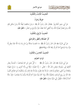





الْحَديثُ الثَّالثُ وَالثَّلَاثُونَ

عَزِيمَةٌ وَجَزَاءٌ

عَنْ أَبِي سَعِيدِ الْخُدْرِيِّ ۚ ﷺ قَالَ رَسُولُ اللَّهِ ﷺ ﴿ وَمَنْ يَسْتَعْفِفْ يُعِفَّهُ اللَّهُ وَمَنْ يَسْتَغْنِ يُغْنِهِ اللَّهُ، وَمَنْ يَتَصَبَّرْ يُصَبِّرْهُ اللَّهُ، وَمَا أُعْطِيَ أَحَدٌ عَطَاءً خَيْرًا وَأَوْسَعَ مِنَ الصَّبْرِ ﴾ مُتَّفَقٌ عَلَيْهِ.

الْحَدِيثُ الرَّابِعُ وَالثَّلَاثُونَ

أَثَرُ الصَّدَقَة وَالْعَفْوِ وَالتَّوَاضُع

عَنْ أَبِي هُرَيْرَةَ ﷺ قَالَ: قَالَ رَسُولُ اللَّهِ ﷺ ﴿مَا نَقَصَتْ صَدَقَةٌ مِنْ مَالٍ وَمَا زَادَ اللَّهُ عَبْدًا بِعَفْوِ إِلَّا عزًّا، وَمَا تَوَاضَعَ أَحَدٌ للَّه إِلَّا رَفَعَهُ اللَّهُ ﴾ رَوَاهُ مُسْلَمٌ.

الْحَديثُ الْخَامسُ وَالثَّلَاثُونَ

#### ثَوَابُ الصِّيَامِ

عَنْ أَبِي هُرَيْرَةَ ﷺ، قَالَ: قَالَ رَسُولُ اللَّهِ ﷺ ﴿ كُلُّ عَمَلِ ابْنِ آدَمَ يُضَاعَفُ ؛ الْحَسَنَةُ بعَشْرِ أَمْثَالَهَا إِلَى سَبْعمائَة ضعْف، قَالَ اللَّهُ – تَعَالَى –: إِلَّا الصَّوْمَ ؛ فَإِنَّهُ لِي وَأَنَا أَجْزِي به ؛ يَدَعُ شَهْوَتَهُ وَطَعَامَهُ منْ أَجْلي، للصَّائم فَرْحَتَان ؛ فَرْحَةٌ عنْدَ فطْره، وَفَرْحَةٌ عنْدَ لقَاء رَبِّه، وَلَخُلُوفُ فَم الصَّائم أطْيَبُ عِنْدَ اللَّهِ مِنْ رِيحٍ الْمِسْكِ، وَالصَّوْمُ جُنَّةٌ، وَإِذَا كَانَ يَوْمُ صَوْمِ أَحَدِكُمْ فَلَا يَرْفُثْ وَلَا يَصْخَبْ ؛ فَإِنْ سَابَّهُ أَحَدٌ أَوْ قَاتَلَهُ ؛ فَلْيَقُلْ: إِنِّي امْرُؤٌ صَائِمٌ ﴾ مُتَّفَقٌ عَلَيْه.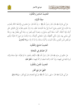





الْحَديثُ السَّادسُ وَالثَّلَاثُونَ

صفَةُ الْأَوْليَاء

عَنْ أَبِي هُرَيْرَةَ ﷺ قَالَ: قَالَ رَسُولُ اللَّهِ ﷺ ﴿ إِنَّ اللَّهَ قَالَ: مَنْ عَادَى لِي وَلَيًّا فَقَدْ آذَنْتُهُ بِالْحَرْبِ وَمَا تَقَرَّبَ إِلَيَّ عَبْدي بشَيْء أَحَبَّ إِلَيَّ ممَّا افْتَرَضْتُ عَلَيْه، وَمَا يَزَالُ عَبْدي يَتَقَرَّبُ إلَيَّ بالنَّوَافل حَتَّى أُحبَّهُ، فَإِذَا أَحْبَبْتُهُ، كُنْتُ سَمْعَهُ الَّذي يَسْمَعُ به، وَبَصَرَهُ الَّذي يُبْصِرُ به، وَيَدَهُ الَّتي يَبْطُشُ بهَا، وَرجْلَهُ الَّتي يَمْشي بهَا، وَلَئنْ سَأَلَني لَأُعْطِيَنَّهُ، وَلَئنْ اسْتَعَاذَني لَأُعِيذَنَّهُ، وَمَا تَرَدَّدْتُ عَنْ شَيْءٍ أَنَا فَاعِلُهُ تَرَدُّدي عَنْ قَبْضٍ نَفْسٍ الْمُؤمِنِ، يَكْرَهُ الْمَوْتَ، وَأَكْرَهُ مَسَاءَتَهُ، وَلَا بُدَّ لَهُ مِنْهُ ﴾ رَوَاهُ الْمُخَارِيُّ.

الْحَديثُ السَّابعُ وَالثَّلَاثُونَ

#### أَثَرُ الصِّدْق في الْمُعَامَلَة

عَنْ حَكيم بْنِ حزَام ﷺ قَالَ: قَالَ رَسُولُ اللَّه ﷺ ﴿ الْبَيِّعَانِ بِالْخِيَارِ مَا لَمْ يَتَفَرَّقَا ؛ فَإِنْ صَدَقَا وَبَيَّنَا، بُوركَ لَهُمَا في بَيْعهمَا، وَإِنْ كَذَبَا وَكَتَمَا مُحقَتْ بَرَكَةُ بَيْعهمَا ﴾ مُتَّفَقٌ عَلَيْه.

الْحَديثُ الثَّامنُ وَالثَّلَاثُونَ

#### النَّهْيُ عَنْ بَيْعِ الْغَرَرِ

عَنْ أَبِي هُرَيْرَةَ ﷺ قَالَ: ﴿ نَهَى رَسُولُ اللَّهِ ﷺ عَنْ بَيْعِ الْحَصَاةِ وَعَنْ بَيْعِ الْغَرَرِ ﴾ **رَوَاهُ مُسْلِمٌ**.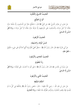





الْحَديثُ التَّاسعُ وَالثَّلَاثُونَ

أَنْوَاعُ الصُّلْح

عَنْ عَمْرِو بْنِ عَوْفٍ الْمُزَنِيِّ ﷺ عَنِ النَّبِيِّ ﷺ قَالَ: ﴿ الصُّلْحُ حَائِزٌ بَيْنَ الْمُسْلِمِينَ، إِلَّا صُلْحًا حَرَّمَ حَلَالًا، أَوْ أَحَلَّ حَرَامًا، وَالْمُسْلِمُونَ عَلَى شُرُوطِهِمْ، إِلَّا شَرْطًا حَرَّمَ حَلَالًا، أَوْ أَحَلَّ حَرَامًا ﴾ رَوَاهُ أَهْلُ السُّنَنِ إلَّا النَّسَائيَّ.

- الْحَديثُ الْأَرْبَعُونَ
- حُسْنُ الْوَفَاء وَاللسْتيفَاء

عَنْ أَبِي هُرَيْرَةَ ﷺ قَالَ: قَالَ رَسُولُ اللَّهِ ﷺ ﴿مَطْلُ الْغَنِيِّ ظُلْمٌ وَإِذَا أُتْبِعَ أَحَدُكُمْ عَلَى مَلِيءِ ؛ فَلْيَتْبَعْ ﴾ مُتَّفَقٌ عَلَيْه.

الْحَديثُ الْحَادي وَالْأَرْبَعُونَ

#### رَدُّ الْحُقُوق

عَنْ سَمُرَةَ بْنِ جُنْدَبِ ﷺ، قَالَ: قَالَ رَسُولُ اللَّهِ ﷺ ﴿ عَلَى الْيَدِ مَا أَخَذَتْ، حَتَّى تُؤَدِّيهُ ﴾ رَوَاهُ أَهْلُ السُّنَن إلَّا النَّسَائيَّ.

الْحَديثُ الثَّاني وَالْأَرْبَعُونَ

#### أَحْكَامُ الشُّفْعَة

عَنْ حَابر بْن عَبْد اللَّه – رَضِيَ اللَّهُ عَنْهُمَا – قَالَ: ﴿ قَضَى رَسُولُ اللَّهِ ﷺ بِالشُّفْعَةِ فِي كُلِّ مَا لَمْ يُقْسَمْ، فَإِذَا وَقَعَتِ الْحُدُودُ، وَصُرِّفَتِ الطُّرُقُ، فَلَا شُفْعَةَ ﴾ رَوَاهُ الْمُخَارِيُّ.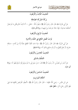





#### الْحَديثُ الثَّالثُ وَالْأَرْبَعُونَ

#### بَرَكَةُ الشَّركَة الصَّادقَة

عَنْ أَبِي هُرَيْرَةَ ﷺ قَالَ: قَالَ رَسُولُ اللَّهِ ﷺ ﴿ يَقُولُ اللَّهُ – تَعَالَى –: أَنَا ثَالِثُ الشَّرِيكَيْنِ مَا لَمْ يَخُنْ أَحَدُهُمَا صَاحِبَهُ ؛ فَإِذَا خَانَهُ خَرَجْتُ مِنْ بَيْنِهِمَا ﴾ رَوَاهُ أَبُو دَاوُدَ.

## الْحَديثُ الرَّابعُ وَالْأَرْبَعُونَ

ثَوَابُ الْعَمَلِ النَّافعِ في الدُّنْيَا وَالْآخرَة

عَنْ أَبِي هُرَيْرَةَ ﷺ، قَالَ: قَالَ رَسُولُ اللَّه ﷺ ﴿ إِذَا مَاتَ الْعَبْدُ انْقَطَعَ عَمَلُهُ إِلَّا منْ ثَلَاث ؛ صَدَقَة حَارِيَةِ، أَوْ عِلْمِ يُنْتَفَعُ بِهِ، أَوْ وَلَدِ صَالِحٍ يَدْعُو لَهُ ﴾ رَوَاهُ مُسْلِمٌ.

#### الْحَديثُ الْخَامسُ وَالْأَرْبَعُونَ

## التَّمَلُّكُ بالسَّبْق

عَنْ أَسْمَرَ بْنِ مُضَرِّسٍ: أنَّ رَسُولَ اللَّهِ ﷺ قَالَ: ﴿ مَنْ سَبَقَ إِلَى مَا لَمْ يَسْبِقْ إِلَيْهِ مُسْلِمٌ فَهُوَ لَهُ ﴾ رَوَاهُ أَبُو دَاوُدَ.

## الْحَديثُ السَّادسُ وَالْأَرْبَعُونَ أَحْكَامُ الْمَوَارِيث

عَنِ ابْنِ عَبَّاسٍ – رَضِيَ اللَّهُ عَنْهُمَا – قَالَ: قَالَ رَسُولُ اللَّهِ ﷺ ﴿ أَلْحِقُوا الْفَرَائِضَ بِأَهْلِهَا فَمَا بَقِيَ فَهُوَ لِأَوْلَى رَجُلٍ ذَكَرٍ ﴾ مُتَّفَقٌ عَلَيْه.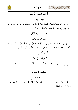





## الْحَديثُ السَّابعُ وَالْأَرْبَعُونَ

لَا وَصَيَّةَ لوَارث

عَنْ أَبِي أُمَامَةَ الْبَاهِلِيِّ ﷺ، قَالَ: سَمِعْتُ رَسُولَ اللَّهِ ﷺ يَقُولُ: ﴿ إِنَّ اللَّهَ قَدْ أَعْطَى كُلَّ ذي حَقٌّ حَقُّهُ ؛ فَلَا وَصِيَّةَ لِوَارِثٍ ﴾ رَوَاهُ أَبُو دَاوُدَ وَالتِّرْمذيُّ وَابْنُ مَاجَهْ.

الْحَديثُ الثَّامنُ وَالْأَرْبَعُونَ

ثَلَاثَةٌ اللَّهُ في عَوْنهمْ

عَنْ أَبِي هُرَيْرَةَ ﷺ قَالَ: قَالَ رَسُولُ اللَّه ﷺ ﴿ ثَلَاثَةٌ حَقٌّ عَلَى اللَّه فَخَلْلٌ عَوْنُهُمُ ؛ الْمُكَاتَبُ يُرِيدُ الْأَدَاءَ، وَالْمُتَزَوِّجُ يُرِيدُ الْعَفَافَ، وَالْمُجَاهِدُ فِي سَبِيلِ اللَّهِ ﴾ رَوَاهُ أَهْلُ السُّنَنِ إلَّا النَّسَائِيَّ. الْحَديثُ التَّاسِعُ وَالْأَرْبَعُونَ

#### الْمُحَرَّمَاتُ منَ الرَّضَاعَة

عَنْ عَائِشَةَ – رَضِيَ اللَّهُ عَنْهَا – قَالَتْ: قَالَ رَسُولُ اللَّهِ ﷺ ﴿ يَحْرُمُ مِنَ الرَّضَاعَةِ مَا يَحْرُمُ مِنَ الْوِلَادَةِ ﴾ مُتَّفَقٌّ عَلَيْه.

#### الْحَديثُ الْخَمْسُونَ

#### حُسْنُ مُعَاشَرَة الزَّوْجَة

عَنْ أَبِي هُرَيْرَةَ ﷺ قَالَ: قَالَ رَسُولُ اللَّهِ ﷺ ﴿ لَا يَفْرَكْ مُؤْمِنٌ مُؤِمْنَةً ؛ إِنْ كَرِهَ مِنْهَا خُلُقًا، رَضِيَ منْهَا آخَرَ ﴾ رَوَاهُ مُسْلَمٌ.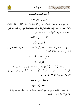





الْحَديثُ الْحَادي وَالْخَمْسُونَ

النَّهْىُ عَنْ سُؤَالِ الْإِمَارَة

عَنْ عَبْدِ الرَّحْمَنِ بْنِ سَمُرَةَ ﷺ قَالَ: ﴿ قَالَ لِي رَسُولُ اللَّهِ ﷺ يَا عَبْدَ الرَّحْمَنِ بنَ سَمُرَةَ لَا تَسْأَلِ الْإِمَارَةَ ؛ فَإِنَّكَ إِنْ أُوتِيتَهَا وُكِلْتَ إِلَيْهَا، وَإِنْ أُوتِيتَهَا مِنْ غَيْرِ مَسْأَلَةٍ، أُعِنْتَ عَلَيْهِا، وَإِذَا حَلَفْتَ عَلَى يَمِينِ، فَرَأَيْتَ غَيْرَهَا خَيْرًا مِنْهَا، فَائْتِ الَّذِي هُوَ خَيْرٌ ﴾ مُتَّفَقٌ عَلَيْهِ.

الْحَديثُ الثَّاني وَالْخَمْسُونَ

#### الْوَفَاءُ بنَذْرِ الطَّاعَة

عَنْ عَائشَةَ – رَضيَ اللَّهُ عَنْهَا – قَالَتْ: قَالَ رَسُولُ اللَّه ﷺ ﴿ مَنْ نَذَرَ أَنْ يُطِيعَ اللَّهَ فَلْيُطِعْهُ وَمَنْ نَذَرَ أَنْ يَعْصِيَ اللَّهَ فَلَا يَعْصِهِ ﴾ رَوَاهُ الْبُخَارِيُّ.

## الْحَديثُ الثَّالثُ وَالْخَمْسُونَ

#### الْمُؤمنُونَ إخْوَةٌ

عَنْ عَليٍّ رَضِّيًّا قَالَ: قَالَ رَسُولُ اللَّه ﷺ ﴿ الْمُسْلَمُونَ تَتَكَافَأُ دمَاؤُهُمْ وَيَسْعَى بذمَّتهمْ أَدْنَاهُمْ، وَيَرُدُّ عَلَيْهِمْ أَقْصَاهُمْ، وَهُمْ يَدٌ عَلَى مَنْ سِوَاهُمْ، أَلَا لَا يُقْتَلُ مُسْلِمٌ بِكَافِرٍ، وَلَا ذُو عَهْد في عَهْدِه ﴾ رَوَاهُ أَبُو دَاوُدَ وَالنَّسَائِيُّ، وَرَوَاهُ ابْنُ مَاجَهْ عَنِ ابْنِ عَبَّاسٍ.

#### الْحَديثُ الرَّابعُ وَالْخَمْسُونَ

## التَّخَصُّصُ في الْمهَن

عَنْ عَمْرِو بْنِ شُعَيْبٍ عَنْ أَبِيهِ عَنْ حَدِّهِ: أَنَّ رَسُولَ اللَّهِ ﷺ قَالَ: ﴿مَنْ تَطَبَّبَ وَلَمْ يُعْلَمْ منْهُ طبٌّ ؛ فَهُوَ ضَامنٌ ﴾ رَوَاهُ أَبُو دَاوُدَ وَالنَّسَائيُّ.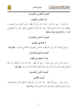





الْحَديثُ الْخَامسُ وَالْخَمْسُونَ

دَرْءُ الْحُدُود بالشُّبُهَات

عَنْ عَائشَةَ – رَضيَ اللَّهُ عَنْهَا – قَالَتْ: قَالَ رَسُولُ اللَّهِ ﷺ ﴿ ادْرَءُوا الْحُدُودَ عَنِ الْمُسْلِمِينَ مَا اسْتَطَعْتُمْ ؛ فَإِنْ كَانَ لَهُ مَخْرَجٌ، فَخَلُّوا سَبِيلَهُ ؛ فَإِنَّ الْإِمَامَ أَنْ يُخْطِئَ فِي الْعَفْوِ، خَيْرٌ مِنْ أَنْ يُخْطِئَ فِي الْعُقُوبَة ﴾ رَوَاهُ التِّرْمِذِيُّ مَرْفُوعًا وَمَوْقُوفًا.

الْحَديثُ السَّادسُ وَالْخَمْسُونَ

#### لَا طَاعَةَ في الْمَعْصيَة

عَنْ عَلِيٍّ ﷺ، قَالَ: قَالَ رَسُولُ اللَّهِ ﷺ ﴿ لَا طَاعَةَ فِي مَعْصِيةِ إِنَّمَا الطَّاعَةُ فِي الْمَعْرُوفِ ﴾ مُتَّفَقٌ عَلَيْهِ. الْحَديثُ السَّابِعُ وَالْخَمْسُونَ

ثَوَابُ اللجْتهَاد في الْقَضَاء

عَنْ عَبْدِ اللَّهِ بْنِ عَمْرِو، وَأَبِي هُرَيْرَةَ – رَضِيَ اللَّهُ عَنْهُمَا – قَالَا: قَالَ رَسُولُ اللَّه ﷺ ﴿ إِذَا حَكَمَ الْحَاكِمُ فَاحْتَهَدَ وَأَصَابَ، فَلَهُ أَجْرَانِ وَإِذَا حَكَمَ فَاحْتَهَدَ فَأَخْطَأَ، فَلَهُ أَجْرٌ وَاحِدٌ ﴾ هُتَّفَقٌ عَلَيْهِ.

# الْحَديثُ الثَّامنُ وَالْخَمْسُونَ

## أُصُولُ التَّقَاضى

عَنِ ابْنِ عَبَّاسٍ – رَضِيَ اللَّهُ عَنْهُمَا – قَالَ: قَالَ رَسُولُ اللَّهِ ﷺ ﴿ لَوْ يُعْطَى النَّاسُ بِدَعْوَاهُمْ لَادَّعَى رِجَالٌ دِمَاءَ قَوْمٍ وَأَمْوَالَهُمْ، وَلَكِنِ الْيَمِينُ عَلَى الْمُلَّعَى عَلَيْهِ ﴾ رَوَاهُ مُسْلمٌ.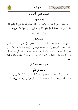





الْحَديثُ التَّاسعُ وَالْخَمْسُونَ

قَوَادحُ الشَّهَادَة

عَنْ عَائِشَةَ – رَضِيَ اللَّهُ عَنْهَا –، – مَرْفُوعًا –: ﴿ لَا تَجُوزُ شَهَادَةُ خَائِنٍ وَلَا خَائنَة وَلَا مَجْلُودِ حَلًّا، وَلَا ذِي غِمْرِ عَلَى أَخِيهِ، وَلَا ظَنِينِ فِي وَلَاءِ، وَلَا قَرَابَةِ، وَلَا الْقَانِعِ مِنْ أَهْلِ الْبَيْتِ ﴾ رَوَاهُ التَّوْمِذِيُّ.

الْحَديثُ السِّـــتُّونَ

#### اللَّبْحُ وَأَدَاتُهُ

عَنْ رَافع بْن خَديج رَهْيُّه قَالَ: ﴿ قُلْتُ: يَا رَسُولَ اللَّه، إِنَّا لَاقُوا الْعَدُوِّ غَدًا، وَلَيْسَ مَعَنَا مُدًى أَفَنَذْبَحُ بِالْقَصَبِ ؟ قَالَ: مَا أَنْهَرَ الدَّمَ، وَذُكرَ اسْمُ اللَّه عَلَيْه فَكُلْ، لَيْسَ السِّنَّ وَالظُّفُرَ، وَسَأُحَدِّثُكَ عَنْهُ ؛ أَمَّا السِّنُّ فَعَظْمٌ، وَأَمَّا الظُّفْرُ فَمُلَى الْحَبَشَةِ وَأَصَبْنَا نَهْبَ إِبلِ وَغَنَمٍ، فَنَلَّ مِنْهَا بَعِيرٌ، فَرَمَاهُ رَجُلٌ بِسَهْمٍ فَحَبَسَهُ، فَقَالَ رَسُولُ اللَّه ﷺ إِنَّ لهَذه أَوَابِدَ كَأَوَابِدِ الْوَحْشِ، فَإِذَا غَلَبَكُمْ مِنْهَا شَيْءٌ، فَافْعَلُوا بِهِ هَكَذَا ﴾ مُتَّفَقٌ عَلَيْه.

الْحَديثُ الْحَادي وَالسِّـــُّونَ

الْإِحْسَانُ في الذَّبْح

عَنْ شَدَّادٍ بْنِ أَوْسٍ ﷺ، أَنَّ رَسُولَ اللَّهِ ﷺ قَالَ: ﴿ إِنَّ اللَّهَ كَتَبَ الْإِحْسَانَ عَلَى كُلِّ شَيْءٍ فَإِذَا قَتَلْتُمْ ؛ فَأَحْسِنُوا الْقتْلَةَ، وَإِذَا ذَبَحْتُمْ ؛ فَأَحْسِنُوا الذُّبْحَةَ، وَلْيُحِدَّ أَحَدُكُمْ شَفْرَتَهُ، وَلْيُرحْ ذَبيحَتَهُ ﴾ رَوَاهُ مُسْلمٌ.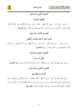

جوامع الأخبار



الْحَديثُ الثَّاني وَالسِّــتُّونَ اللَّحُومُ الْمُحَرَّمَةُ عَنْ جَابِرٍ بْنِ عَبْدِ اللَّهِ – رَضِيَ اللَّهُ عَنْهُمَا – قَالَ: ﴿ حَرَّمَ رَسُولُ اللَّهِ ﷺ يَوْمَ خَيْبَرَ الْحُمُرَ الْإِنْسِيَّةَ وَلُحُومَ الْبِغَالِ، وَكُلَّ ذِي نَابٍ مِنَ السِّبَاعِ، وَكُلَّ ذِي مِخْلَبٍ مِنَ الطَّيْرِ ﴾ رَوَاهُ القّوْمذيُّ. الْحَديثُ الثَّالتُ وَالسِّــتُّونَ تَحْرِيمُ تَشَبُّه الرِّجَال بالنِّسَاء وَالْعَكْس عَنِ ابْنِ عَبَّاسٍ – رَضيَ اللَّهُ عَنْهُمَا – قَالَ: قَالَ رَسُولُ اللَّه ﷺ ﴿ لَعَنَ اللَّهُ الْمُتَشَبِّهِينَ منَ الرِّجَال بالنِّسَاءِ وَالْمُتَشَبِّهَاتِ مِنَ النِّسَاءِ بالرِّحَالِ ﴾ رَوَاهُ الْمُخَارِيُّ. الْحَدِيثُ الرَّابعُ وَالسِّـــُّونَ لكُلِّ دَاء دَوَاءٌ عَنْ أَبِي هُرَيْرَةَ ﷺ، قَالَ: قَالَ رَسُولُ اللَّهِ ﷺ ﴿مَا أَنْزَلَ اللَّهُ دَاءً إِلَّا أَنْزَلَ لَهُ شفَاءً ﴾ رَوَاهُ الْمُخَارِيُّ. الْحَديثُ الْخَامسُ وَالسِّـــتُّونَ الرُّؤْيَا وَمَا يَتَعَلَّقُ بِهَا عَنْ أَبِي قَتَادَةَ ﷺ قَالَ: قَالَ رَسُولُ اللَّه ﷺ ﴿ الرُّوْيَا الصَّالِحَةُ مِنَ اللَّهِ وَالْحُلْمُ مِنَ الشَّيْطَانِ ؛ فَإِذَا

رَأَى أَحَدُكُمْ مَا يُحِبُّ فَلَا يُحَدِّثْ بِهِ إِلَّا مَنْ يُحِبُّ، وَإِذَا رَأَى مَا يَكْرَهُ فَلْيَتَعَوَّذْ باللَّهِ مِنْ شَرِّهَا وَمِنْ شَرٍّ الشَّيْطَانِ، وَلْيَتْفِلْ ثَلَاثًا، وَلَا يُحَدِّثْ بِهَا أَحَدًا، فَإِنَّهَا لَنْ تَضُرَّهُ ﴾ مُتَّفَقٌ عَلَيْه.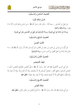





الْحَديثُ السَّادسُ وَالسِّـــتُّونَ

حُسْنُ إسْلَامِ الْمَرْء

عَنْ عَلِيٍّ بْنِ الْحُسَيْنِ – رَحِمَهُ اللَّهُ –، قَالَ: قَالَ رَسُولُ اللَّهِ ﷺ ﴿مِنْ حُسْنِ إِسْلَامِ الْمَرْءِ تَرْكُهُ مَا لَا يَعْنِيه ﴾ رَوَاهُ مَالكٌ وَأَحْمَدُ.

وَرَوَاهُ ابْنُ مَاجَهْ عَنْ أَبِي هُرَيْرَةَ، ورَوَاهُ التِّرْمِذِيُّ عَنْ عَلِيِّ بْنِ الْحُسَيْنِ وَعَنْ أَبِي هُرَيْرَةَ.

الْحَديثُ السَّابعُ وَالسِّـــُّونَ

#### الْأَدَبُ الْحَسَنُ

عَنْ أَيُّوبَ بْنِ مُوسَى بْنِ عَمْرِو بْنِ سَعِيدِ بْنِ الْعَاصِ، عَنْ أَبِيهِ عَنْ حَدِّهِ أَنَّ رَسُولَ اللّهِ ﷺ قَالَ: ﴿ مَا نَحَلَ وَالِدٌ وَلَدَهُ مِنْ نُحْلِ أَفْضَلَ مِنْ أَدَبِ حَسَنٍ ﴾ رَوَاهُ التَّوْمِذِيُّ.

الْحَديثُ الثَّامنُ وَالسِّــتُّونَ

## انْتقَاءُ الْأَصْحَاب

عَنْ أَبِي مُوسَى الْأَشْعَرِيِّ ﷺ قَالَ: قَالَ رَسُولُ اللَّه ﷺ ﴿ مَثَلُ الْحَليسِ الصَّالحِ وَالْحَليس السُّوء ؛ كَحَامل الْمسْك، وَنَافخ الْكير ؛ فَحَاملُ الْمسْك إمَّا أَنْ يُحْذيَكَ، وَإِمَّا أَنْ تَبْتَاعَ منْهُ، وَإِمَّا أَنْ تَجدَ منْهُ رِيحًا طَيِّبَةً، وَنَافِخُ الْكِبِرِ إِمَّا أَنْ يُحْرِقَ ثِيَابَكَ، وِإِمَّا أَنْ تَجِدَ رِيحًا خَبِيتَةً ﴾ مُ**تَّفَقٌ عَلَيْه**ِ.

# الْحَديثُ التَّاسعُ وَالسِّـــتُّونَ

## نَبَاهَةُ الْمُؤْمن

عَنْ أَبِي هُرَيْرَةَ فَيْتًا: قَالَ: قَالَ رَسُولُ اللَّهِ ﷺ ﴿ لَا يُلْدَغُ الْمُؤْمِنُ مِنْ جُحْرِ مَرَّتَيْنِ ﴾ مُتَّفَقٌ عَلَيْهِ.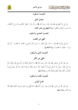





الْحَديثُ السَّبْعُونَ

خصَالُ الْخَيْرِ

عَنْ أَبِي ذَرٍّ الْغِفَارِيِّ ﷺ، قَالَ: قَالَ رَسُولُ اللَّهِ ﷺ ﴿ يَا أَبَا ذَرٍّ، لَا عَقْلَ كَالتَّدْبِيرِ وَلَا وَرَعَ كَالْكَفِّ، وَلَا حَسَبَ كَحُسْنِ الْخُلُقِ ﴾ رَوَاهُ الْبَيْهَقِيُّ فِي شُعَبِ الْإِيمَانِ .

الْحَديثُ الْحَادي وَالسَّبْعُونَ

النَّهْىُ عَنِ الْغَضَبِ

عَنْ أَبِي هُرَيْرَةَ ﷺ، قَالَ: ﴿ حَاءَ رَجُلٌ، فَقَالَ: يَا رَسُولَ اللَّه، أَوْصني ؟ فَقَالَ: لَا تَغْضَبْ – ثُمَّ رَدَّدَ مرَارًا –، فَقَالَ: لَا تَغْضَبْ ﴾ رَوَاهُ الْمُخَارِيُّ.

الْحَديثُ الثَّاني وَالسَّبْعُونَ

#### النَّهْيُ عَنِ الْكبْرِ

عَنْ عَبْدِ اللَّهِ بْنِ مَسْعُودٍ ﷺ، قَالَ: قَالَ رَسُولُ اللَّهِ ﷺ ﴿ لَا يَدْخُلُ الْجَنَّةَ مَنْ كَانَ فِي قَلْبه مثْقَالُ ذَرَّة مِنْ كِبْرٍ فَقَالَ رَجُلٌ: إِنَّ الرَّجُلَ يُحِبُّ أَنْ يَكُونَ ثَوْبُهُ حَسَنًا وَنَعْلُهُ حَسَنَةً ؟ قَالَ: إنَّ اللَّهَ حَميلٌ يُحبُّ الْجَمَالَ، الْكَبْرُ بَطَرُ الْحَقِّ وَغَمْطُ النَّاسِ ﴾ رَوَاهُ مُسْلِمٌ.

## الْحَديثُ الثَّالثُ وَالسَّبْعُونَ

## فَلَاحُ الْمُؤْمن

عَنْ عَبْدِ اللَّهِ بْنِ عَمْرِو ﷺ، قَالَ: قَالَ رَسُولُ اللَّهِ ﷺ ﴿ قَدْ أَفْلَحَ مَنْ أَسْلَمَ، وَرُزِقَ كَفَافًا وَقَنَّعَهُ اللَّهُ بمَا آتَاهُ ﴾ رَوَاهُ مُسْلَمٌ.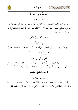





الْحَديثُ الرَّابعُ وَالسَّبْعُونَ

وَصيَّةٌ مُوجَزَةٌ

عَنْ أَبِي أَيُّوبَ الْأَنْصَارِيِّ ﷺ، قَالَ: ﴿ حَاءَ رَجُلٌ إِلَى النَّبِيِّ ﷺ فَقَالَ: يَا رَسُولَ اللَّهِ، عِظْنِي وَأَوْجِزْ ، فَقَالَ: إِذَا قُمْتَ فِي صَلَاتِكَ ؛ فَصَلٍّ صَلَاةَ مُوَدٍّعٍ، وَلَا تَكَلَّمْ بِكَلَامٍ تَعْتَذِرُ مِنْهُ غَدًا، وَاجْمَعِ الْيَأْسَ مِمَّا فِي أَيْدي النَّاس ﴾ رَوَاهُ أَحْمَلُ.

الْحَديثُ الْخَامسُ وَالسَّبْعُونَ

#### احْترَامُ الضُّعَفَاء

عَنْ مُصْعَب بْنِ سَعْد: أَنَّ النَّبِيَّ ﷺ قَالَ: ﴿هَلْ تُنْصَرُونَ وَتُرْزَقُونَ إِلَّا بِضُعَفَائِكُمْ ؟! ﴾ رَوَاهُ الْمُخَارِيُّ. الْحَديثُ السَّادسُ وَالسَّبْعُونَ

قَاتلٌ وَمَقْتُولٌ في الْجَنَّة

عَنْ أَبِي هُرَيْرَةَ ﷺ قَالَ: قَالَ رَسُولُ اللَّهِ ﷺ ﴿ يَضْحَكُ اللَّهُ إِلَى رَجُلَيْنِ يَقْتُلُ أَحَدُهُمَا الْآخَرَ يَدْخُلَانِ الْحَنَّةَ ؛ يُقَاتِلُ هَذَا فِي سَبِيلِ اللَّهِ، فَيُقْتَلُ، ثُمَّ يَتُوبُ اللَّهُ عَلَى الْقَاتِلِ فَيُسْلَمُ فَيُسْتَشْهَدُ ﴾ مُتَّفَقٌ عَلَيْهِ.

الْحَديثُ السَّابعُ وَالسَّبْعُونَ

## النَّهْيُ عَنْ تَمَنِّي الْمَوْت

عَنْ أَنَس ﷺ، قَالَ: قَالَ رَسُولُ اللَّه ﷺ ﴿ لَا يَتَمَنَّيَنَّ أَحَدُكُمُ الْمَوْتَ لضُرٍّ أَصَابَهُ ؛ فَإِنْ كَانَ لَا بُدَّ فَاعِلًا، فَلْيَقُلْ: اللَّهمَّ أَحْيِنِي مَا كَانَتِ الْحَيَاةُ خَيْرًا لِي، وَتَوَفَّنِي إِذَا كَانَتِ الْوَفَاةُ خَيْرًا لِي ﴾ مُتَّفَقٌ عَلَيْهِ.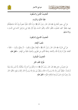





## الْحَديثُ الثَّامنُ وَالسَّبْعُونَ

فتْنَةُ اللُّنْيَا وَالنِّسَاء

عَنْ أَبِي سَعِيدٍ الْخُدْرِيِّ ﷺ، قَالَ: قَالَ رَسُولُ اللَّهِ ﷺ ﴿ إِنَّ الدُّنْيَا حُلْوَةٌ خَضرَةٌ وَإِنَّ اللَّهَ مُسْتَخْلفُكُمْ فِيهَا، فَيَنْظُرُ كَيْفَ تَعْمَلُونَ، فَاتَّقُوا الدُّنْيَا، وَاتَّقُوا النِّسَاءَ، فَإِنَّ أَوَّلَ فِتْنَةِ بْنِي إِسْرَائِيلَ كَانَتْ فِي النِّسَاءِ ﴾ رَوَاهُ مُسْلَمٌّ.

الْحَديثُ التَّاسعُ وَالسَّبْعُونَ

#### شُعَبُ الْإِيمَان

عَنْ أَبِي هُرَيْرَةَ ﷺ، قَالَ: قَالَ رَسُولُ اللَّه ﷺ ﴿ الْإِيمَانُ بِضْعٌ وَسَبْعُونَ – أَوْ بِضْعٌ وَسِتُونَ – شُعْبَةً ؛ أَعْلَاهَا: قَوْلُ لَا إِلَهَ إِلَّا اللَّهُ، وَأَدْنَاهَا: إِمَاطَةُ الْأَذَى عَنِ الطَّرِيقِ، وَالْحَيَاءُ شُعْبَةٌ مِنَ الْإِيمَان ِ ﴾ مُتَّفَقٌ عَلَيْهِ.

الْحَديثُ الثَّمَانُونَ

#### طُرُقُ اتِّقَاء النَّار

عَنْ عَديٍّ بْنِ حَاتمٍ ﷺ قَالَ: قَالَ رَسُولُ اللَّهِ ﷺ ﴿ مَا منْكُمْ منْ أَحَد إِلَّا سَيُكَلِّمُهُ رَبُّهُ لَيْسَ بَيْنَهُ وَبَيْنَهُ تُرْجُمَانٌ ؛ فَيَنْظُرُ أَيْمَنَ منْهُ، فَلَا يَرَى إِلَّا مَا قَدَّمَ، وَيَنْظُرُ بَيْنَ يَدَيْهِ فَلَا يَرَى إِلَّا النَّارَ تِلْقَاءَ وَجْهِهِ، فَاتَّقُوا النَّارَ وَلَوْ بِشِقِّ تَمْرَةٍ، فَمَنْ لَمْ يَجِدْ فَبِكَلِمَةٍ طَيِّبَةٍ ﴾ مُتَّفَقٌ عَلَيْهِ.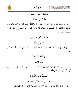





الْحَديثُ الْحَادي وَالثَّمَانُونَ

النَّهْيُ عَنِ اللخْتلَاف

عَنْ أَبِي هُرَيْرَةَ ﷺ، عَنِ النَّبِيِّ ﷺ قَالَ: ﴿ دَعُونِي مَا تَرَكْتُكُمْ ؛ فَإِنَّمَا أَهْلَكَ مَنْ كَانَ قَبْلَكُمْ كَثْرَةُ سُؤَالِهِمْ، وَاحْتِلَافُهُمْ عَلَى أَنْبِيَائِهِمْ، فَإِذَا نَهَيْتُكُمْ عَنْ شَيْءٍ فَاحْتَنِبُوهُ، وَإِذَا أَمَرْتُكُمْ بِأَمْرٍ فَائْتُوا مِنْهُ مَا اسْتَطَعْتُمْ ﴾ هُتَّفَقٌّ عَلَيْه.

الْحَدِيثُ الثَّاني وَالثَّمَانُونَ

#### الرَّحْمَةُ بالْخَلْق

عَنْ حَرِيرِ بْنِ عَبْدِ اللَّهِ ﷺ، قَالَ: قَالَ رَسُولُ اللَّهِ ﷺ ﴿ مَنْ لَا يَرْحَمِ النَّاسَ، لَا يَرْحَمْهُ اللَّهُ ﴾ هُتَّفَقُّ عَلَيْه.

## الْحَديثُ الثَّالتُ وَالثَّمَانُونَ

## صلَةُ الرَّحم

عَنْ أَنَسٍ بْنِ مَالِكٍ ﷺ، قَالَ: قَالَ رَسُولُ اللَّهِ ﷺ ﴿ مَنْ أَحَبَّ أَنْ يُبْسَطَ لَهُ فِي رِزْقِهِ وَيُنْسَأَ لَهُ فِي أَثَره، فَلْيَصلْ رَحمَهُ ﴾ مُتَّفَقٌ عَلَيْه.

#### الْحَديثُ الرَّابعُ وَالثَّمَانُونَ

## الْحَتُّ عَلَى حُبِّ الرُّسُلِ وَالصَّالحينَ

عَنْ أَبِي مُوسَى الْأَشْعَرِيِّ ﷺ، قَالَ: قَالَ رَسُولُ اللَّهِ ﷺ ﴿ الْمَرْءُ مَعَ مَنْ أَحَبَّ ﴾ مُتَّفَقٌ عَلَيْه.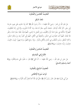





#### الْحَديثُ الْخَامسُ وَالثَّمَانُونَ

دُعَاءُ السَّفَرِ

عَنْ عَبْد اللَّه بْنِ عُمَرَ –رَضِيَ اللَّهُ عَنْهُمَا–: ﴿ أَنَّ رَسُولَ اللَّهِ ﷺ كَانَ إِذَا اسْتَوَى عَلَى بَعيرِه خَارِجًا إِلَى سَفَرٍ، كَبَّرَ ثَلَاثًا، ثُمَّ قَالَ: سُبْحَانَ الَّذي سَخَّرَ لَنَا هَذَا، وَمَا كُنَّا لَهُ مُقْرنينَ، وَإنَّا إِلَى رَبِّنَا لَمُنْقَلَبُونَ، اللَّهمَّ إنَّا نَسْأَلُكَ في سَفَرنَا هَذَا الْبرَّ وَالتَّقْوَى، وَمنَ الْعَمَل مَا تَرْضَى، اللَّهمَّ هَوِّنْ عَلَيْنَا سَفَرَنَا هَذَا، وَاطْو عَنَّا بُعْدَهُ، اللَّهمَّ أَنْتَ الصَّاحبُ في السَّفَر، وَالْخَليفَةُ في الْأَهْلِ، اللَّهمَّ إنِّي أعُوذُ بكَ منْ وَعْثَاء السَّفَر، وَكَآبَةِ الْمَنْظَرِ، وَسُوءِ الْمُنْقَلَبِ فِي الْمَالِ وَالْأَهْلِ وَالْوَلَدِ ، وَإِذَا رَجَعَ قَالَهُنَّ، وَزَادَ فِيهِنَّ: آيِبُونَ، تَائِبُونَ، عَابِدُونَ، لِرَبِّنَا حَامِدُونَ ﴾ رَوَاهُ مُسْلَمٌ.

الْحَديثُ السَّادسُ وَالثَّمَانُونَ

الاتَّبَاعُ في الْمَنَاسك

عَنْ جَابِرٍ بْنِ عَبْدِ اللَّهِ – رَضِيَ اللَّهُ عَنْهُمَا –: أَنَّ النَّبِيَّ ﷺ قَالَ: ﴿ خُذُوا عَنِّي مَنَاسِكَكُمْ ﴾ رَوَاهُ أَحْمَدُ ومُسْلمٌ وَالنَّسَائيُّ.

الْحَديثُ السَّابعُ وَالثَّمَانُونَ ثَوَابُ سُورَة الْإِخْلَاص عَنْ أَبِي هُرَيْرَةَ نَحْيًّةٌ، قَالَ: قَالَ رَسُولُ اللَّهِ ﷺ ﴿ قُلْ هُوَ اللَّهُ أَحَدٌ تَعْدلُ ثُلُثَ الْقُرْآنِ ﴾ رَوَاهُ مُسْلمٌ.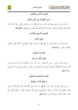





الْحَديثُ الثَّامنُ وَالثَّمَانُونَ حُسْنُ التَّصَرُّف في الْمَال وَالْعلْم عَنْ عَبْدِ اللَّهِ بْنِ مَسْعُودٍ ﷺ، قَالَ: قَالَ رَسُولُ اللَّهِ ﷺ ﴿ لَا حَسَدَ إِلَّا فِي اثْنَتَيْنِ رَجُلٌ آتَاهُ اللَّهُ مَالًا فَسَلَّطَهُ عَلَى هَلَكَتِهِ فِي الْحَقِّ، وَرَجُلٌ آتَاهُ اللَّهُ الْحِكْمَةَ فَهُوَ يَقْضِي بِهَا وَيُعَلِّمُهَا ﴾ مُتَّفَقٌ عَلَيْهِ. الْحَديثُ التَّاسعُ وَالثَّمَانُونَ

جَامعُ اللُّكَاء

عَنْ عَبْد اللَّه بْن مَسْعُود ﷺ ﴿ أَنَّ النَّبِيَّ ﷺ كَانَ يَدْعُو، فَيَقُولُ اللَّهِمَّ إِنِّي أَسْأَلُكَ الْهُدَى وَالتُّقَى، وَالْعَفَافَ وَالْغَنِي ﴾ رَوَاهُ مُسْلَمٌ.

الْحَديثُ التِّسْعُونَ

## طَريقُ الْبُعْد عَنِ النَّارِ

عَنْ عَبْدِ اللَّهِ بْنِ عَمْرِو – رَضِيَ اللَّهُ عَنْهُمَا – قَالَ: قَالَ رَسُولُ اللَّهِ ﷺ ﴿ مَنْ أَحَبَّ أَنْ يُزَحْزَحَ عَنِ النَّارِ، وَيَدْخُلَ الْجَنَّةَ فَلْتَأْتِهِ مَنِيَّتُهُ وَهُوَ يُؤْمِنُ بِاللَّهِ وَالْيَوْمِ الْآخِرِ، وَلْيَأْتِ إِلَى النَّاسِ الَّذِي يُحِبُّ أَنْ يُؤْتَى إِلَيْهِ ﴾ رَوَاهُ مُسْلَمٌّ.

## الْحَديثُ الْحَادي وَالتِّسْعُونَ

#### مَا يُحبُّهُ اللَّهُ لَنَا وَيَكْرَهُهُ

عَنْ أَبِي هُرَيْرَةَ ﷺ قَالَ: قَالَ رَسُولُ اللَّه ﷺ ﴿ إِنَّ اللَّهَ يَرْضَى لَكُمْ ثَلَاثًا، وَيَكْرَهُ لَكُمْ ثَلَاثًا ؛ فَيَرْضَى لَكُمْ أَنْ تَعْبُدُوهُ وَلَا تُشْرِكُوا بِهِ شَيْئًا، وَأَنْ تَعْتَصِمُوا بِحَبْلِ اللَّه جَميعًا وَلَا تَفَرَّقُوا ؛ وَيَكْرَهُ لَكُمْ ؛ قيلَ وَقَالَ، وَكَثْرَةَ السُّؤَالِ، وَإِضَاعَةَ الْمَالِ ﴾ رَوَاهُ هُسْلُمٌ.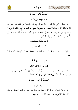





الْحَديثُ الثَّاني وَالتِّسْعُونَ

نَفَقَة الْأَوْلَاد عَلَى الْأَب

عَنْ عَائِشَةَ – رَضِيَ اللَّهُ عَنْهَا – قَالَتْ: ﴿ دَخَلَتْ هِنْدٌ بِنْتُ عُتْبَةَ امْرَأَةُ أَبِي سُفْيَانَ عَلَى رَسُول اللَّه ﷺ فَقَالَتْ يَا رَسُولَ اللَّهِ، إِنَّ أَبَا سُفْيَانَ رَجُلٌ شَحِيحٌ، لَا يُعْطِينِي مِنَ النَّفَقَةِ مَا يَكْفينِي وَيَكْفي بَنِيَّ، إِلَّا مَا أَخَذْتُهُ مِنْ مَالِهِ بِغَيْرِ عِلْمِهِ، فَهَلْ عَلَيَّ فِي ذَلِكَ مِنْ جُنَاحٍ ؟ فَقَالَ رَسُولُ اللَّهِ ﷺ خُذِي مِنْ مَالِهِ بالْمَعْرُوف مَا يَكْفيك وَيَكْفي بَنيك ﴾ مُتَّفَقٌّ عَلَيْه.

الْحَديثُ الثَّالثُ وَالتِّسْعُونَ

## الْقَضَاء وَقْتَ الْغَضَب

عَنْ أَبِي بَكْرِ ﷺ، قَالَ: سَمِعْتُ رَسُولَ اللَّهِ ﷺ يَقُولُ: ﴿لَا يَحْكُمْ أَحَدٌ بَيْنَ اتَّنَيْنِ وَهُوَ غَضْبَانُ ﴾ هُتَّفَقٌ عَلَيْه.

## الْحَدِيثُ الرَّابِعُ وَالتِّسْعُونَ

## النَّهْيُ عَنِ الْإِسْرَاف وَالْكبْرِ

عَنْ عَمْرِو بْنِ شُعَيْبٍ عَنْ أَبِيه عَنْ حَدِّه قَالَ: قَالَ رَسُولُ اللَّه ﷺ ﴿ كُلْ وَاشْرَبْ، وَالْبَسْ وَتَصَدَّقْ، فِي غَيْرِ سَرَفٍ وَلَا مَحِيلَةٍ ﴾ رَوَاهُ أَحْمَدُ وَأَبُو دَاوُدَ وَعَلَّقَهُ الْبُخَارِيُّ.

## الْحَديثُ الْخَامسُ وَالتِّسْعُونَ

#### بُشْرَى الْمُؤْمن

عَنْ أَبِي ذَرٍّ ﷺ، قَالَ: ﴿ قِيلَ يَا رَسُولَ اللَّهِ، أَرَأَيْتَ الرَّجُلَ يَعْمَلُ الْعَمَلَ منَ الْخَيْر وَيَحْمَدُهُ – أَوْ يُحبُّهُ – النَّاسُ عَلَيْهِ ؟ قَالَ: تِلْكَ عَاجِلُ بُشْرَى الْمُؤْمِنِ ﴾ رَوَاهُ مُسْلمٌ.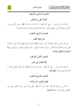





الْحَديثُ السَّادسُ وَالتِّسْعُونَ

الْحَتُّ عَلَى برِّ الْوَاللدَيْن

عَنْ عَبْدِ اللَّهِ بْنِ عَمْرِو – رَضِيَ اللَّهُ عَنْهُمَا – قَالَ: قَالَ رَسُولُ اللَّهِ ﷺ ﴿ رِضَى اللَّهِ فِي رِضَى الْوَالِدَيْنِ وَسَخَطُ اللَّهِ فِي سَخَطِ الْوَالِدَيْنِ ﴾ أَخْرَجَهُ التِّرْمِذِيُّ وَصَحَّحَهُ ابْنُ حِبَّانَ وَالْحَاكِمُ.

الْحَديثُ السَّابعُ وَالتِّسْعُونَ

سُبُلُ تَنْقيَة الْقَلْب

عَنْ عَبْد اللَّه بْنِ مَسْعُود ﷺ، قَالَ: قَالَ رَسُولُ اللَّه ﷺ ﴿ ثَلَاثٌ لَا يُغلُّ عَلَيْهِنَّ قَلْبُ مُسْلم ؛ إخْلَاصُ الْعَمَلِ لِلَّهِ، وَمُنَاصَحَةُ وُلَاةِ الْأُمُورِ، وَلُزُومُ جَمَاعَةِ الْمُسْلِمِينَ ؛ فَإِنَّ دَعْوَتَهُمْ تُحِيطُ مِنْ وَرَائِهِمْ ﴾ رَوَاهُ التِّرْمذيُّ وَالشَّافعيُّ وَغَيْرُهُمَا.

الْحَديثُ الثَّامنُ وَالتِّسْعُونَ

## قلَّةُ الْكَمَال في الْبَشَر

عَنْ عَبْدِ اللَّهِ بْنِ عُمَرَ – رَضِيَ اللَّهُ عَنْهُمَا – قَالَ: قَالَ رَسُولُ اللَّه ﷺ ﴿ إِنَّمَا النَّاسُ كَالْإبل الْمائَة، لَا تَكَادُ تَجدُ فِيهَا رَاحلَةً ﴾ مُتَّفَقٌّ عَلَيْه.

> الْحَديثُ التَّاسعُ وَالتِّسْعُونَ فَضْلُ الْمُؤْمن آخرَ الزَّمَان

عَنْ أَنَسٍ بْنِ مَالكِ ﷺ قَالَ: قَالَ رَسُولُ اللَّهِ ﷺ ﴿ يِأْتِي عَلَى النَّاسِ زَمَانٌ، الْقَابِضُ عَلَى دينِه كَالْقَابض عَلَى الْجَمْرِ ﴾ رَوَاهُ التِّرْمذيُّ.